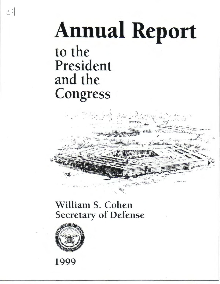## **Annual Report**

to the President and the Congress

 $c4$ 

## William S. Cohen Secretary of Defense



1999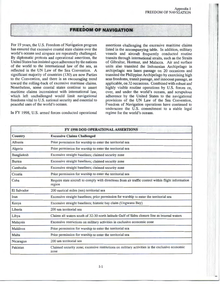## .. **FREEDOM OF NAVIGATION**

For 19 years, the U.S. Freedom of Navigation program has ensured that excessive coastal state claims over the world's oceans and airspace are repeatedly challenged. By diplomatic protests and operational assertions, the United States has insisted upon adherence by the nations of the world to the international law of the sea, as reflected in the UN Law of the Sea Convention. A significant majority of countries (130) are now Parties to the Convention, and there is an encouraging trend toward the rolling-back of excessive maritime claims. Nonetheless, some coastal states continue to assert maritime claims inconsistent with international law, which left unchallenged would limit navigational freedoms vital to U.S. national security and essential to peaceful uses of the world's oceans.

In FY 1998, U.S. armed forces conducted operational

assertions challenging the excessive maritime claims listed in the accompanying table. In addition, military vessels and aircraft frequently conducted routine transits through international straits, such as the Straits of Gibraltar, Hormuz, and Malacca. Air and surface units also transited the Indonesian Archipelago in archipelagic sea lanes passage on 20 occasions and transited the Philippine Archipelago by exercising high seas freedoms, transit passage, and innocent passage, as applicable, on 32 occasions. Combined with robust and highly visible routine operations by U.S. forces on, over, and under the world's oceans, and scrupulous adherence by the United States to the navigational provisions of the UN Law of the Sea Convention, Freedom of Navigation operations have continued to underscore the U.S. commitment to a stable legal regime for the world's oceans.

| FY 1998 DOD OPERATIONAL ASSERTIONS |                                                                                                               |
|------------------------------------|---------------------------------------------------------------------------------------------------------------|
| <b>Country</b>                     | <b>Excessive Claims Challenged</b>                                                                            |
| Albania                            | Prior permission for warship to enter the territorial sea                                                     |
| Algeria                            | Prior permission for warship to enter the territorial sea                                                     |
| Bangladesh                         | Excessive straight baselines; claimed security zone                                                           |
| <b>Burma</b>                       | Excessive straight baselines; claimed security zone                                                           |
| Cambodia                           | Excessive straight baselines; claimed security zone                                                           |
| Croatia                            | Prior permission for warship to enter the territorial sea                                                     |
| Cuba                               | Require state aircraft to comply with directions from air traffic control within flight information<br>region |
| <b>El Salvador</b>                 | 200 nautical miles (nm) territorial sea                                                                       |
| Iran                               | Excessive straight baselines; prior permission for warship to enter the territorial sea                       |
| Kenya                              | Excessive straight baselines; historic bay claim (Ungwana Bay)                                                |
| Liberia                            | 200 nm territorial sea                                                                                        |
| Libya                              | Claims all waters south of 32-30 north latitude Gulf of Sidra closure line as internal waters                 |
| Malaysia                           | Excessive restrictions on military activities in exclusive economic zone                                      |
| <b>Maldives</b>                    | Prior permission for warship to enter the territorial sea                                                     |
| Malta                              | Prior permission for warship to enter the territorial sea                                                     |
| Nicaragua                          | 200 nm territorial sea                                                                                        |
| Pakistan                           | Claimed security zone; excessive restrictions on military activities in the exclusive economic<br>zone        |